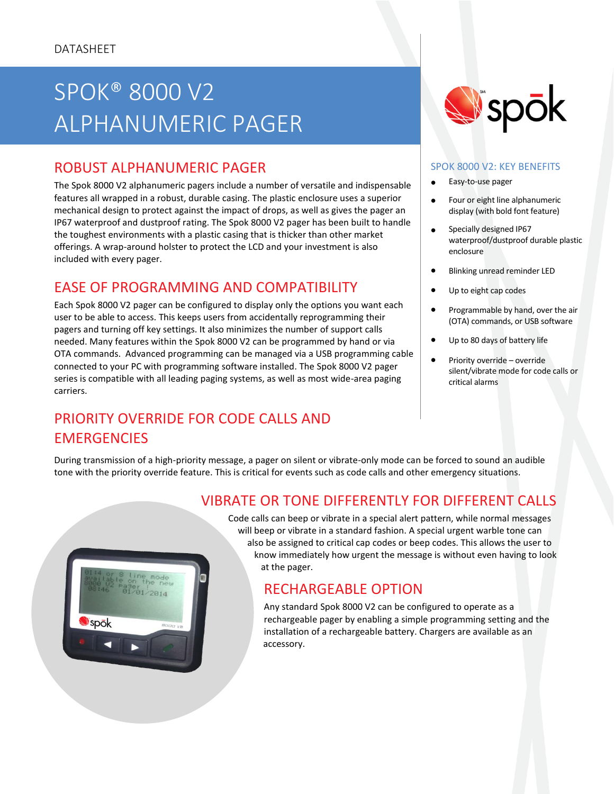## UN OUDU V PUBLIC SAFETY TELEPHONY SPOK® 8000 V2 ALPHANUMERIC PAGER

# ROBUST ALPHANUMERIC PAGER

The Spok 8000 V2 alphanumeric pagers include a number of versatile and indispensable features all wrapped in a robust, durable casing. The plastic enclosure uses a superior mechanical design to protect against the impact of drops, as well as gives the pager an IP67 waterproof and dustproof rating. The Spok 8000 V2 pager has been built to handle the toughest environments with a plastic casing that is thicker than other market offerings. A wrap-around holster to protect the LCD and your investment is also included with every pager.

### EASE OF PROGRAMMING AND COMPATIBILITY

Each Spok 8000 V2 pager can be configured to display only the options you want each user to be able to access. This keeps users from accidentally reprogramming their pagers and turning off key settings. It also minimizes the number of support calls needed. Many features within the Spok 8000 V2 can be programmed by hand or via OTA commands. Advanced programming can be managed via a USB programming cable connected to your PC with programming software installed. The Spok 8000 V2 pager series is compatible with all leading paging systems, as well as most wide-area paging carriers.

# PRIORITY OVERRIDE FOR CODE CALLS AND **EMERGENCIES**



#### SPOK 8000 V2: KEY BENEFITS

- Easy-to-use pager
- Four or eight line alphanumeric display (with bold font feature)
- Specially designed IP67 waterproof/dustproof durable plastic enclosure
- **•** Blinking unread reminder LED
- Up to eight cap codes
- Programmable by hand, over the air (OTA) commands, or USB software
- Up to 80 days of battery life
- Priority override override silent/vibrate mode for code calls or critical alarms

During transmission of a high-priority message, a pager on silent or vibrate-only mode can be forced to sound an audible tone with the priority override feature. This is critical for events such as code calls and other emergency situations.



### VIBRATE OR TONE DIFFERENTLY FOR DIFFERENT CALLS

Code calls can beep or vibrate in a special alert pattern, while normal messages will beep or vibrate in a standard fashion. A special urgent warble tone can also be assigned to critical cap codes or beep codes. This allows the user to know immediately how urgent the message is without even having to look at the pager.

### RECHARGEABLE OPTION

Any standard Spok 8000 V2 can be configured to operate as a rechargeable pager by enabling a simple programming setting and the installation of a rechargeable battery. Chargers are available as an accessory.